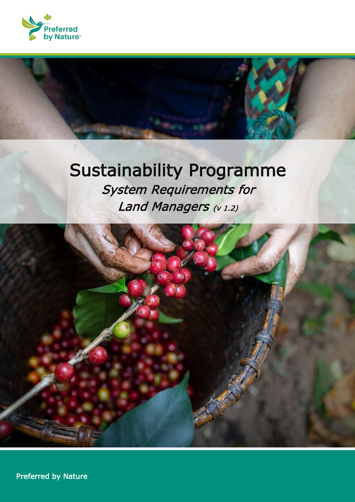

# Sustainability Programme System Requirements for Land Managers (v 1.2)



1 Preferred by Nature Sustainability Programme - System Requirements | Version 1.2 (Version 1.2)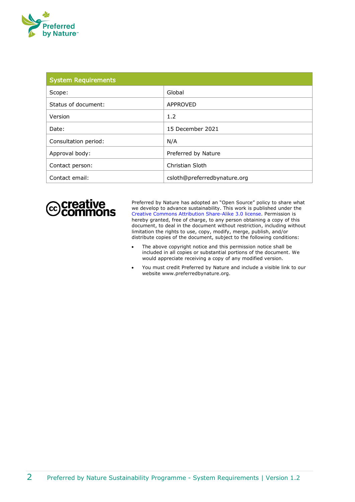

| <b>System Requirements</b> |                              |  |
|----------------------------|------------------------------|--|
| Scope:                     | Global                       |  |
| Status of document:        | APPROVED                     |  |
| Version                    | 1.2                          |  |
| Date:                      | 15 December 2021             |  |
| Consultation period:       | N/A                          |  |
| Approval body:             | Preferred by Nature          |  |
| Contact person:            | Christian Sloth              |  |
| Contact email:             | csloth@preferredbynature.org |  |



Preferred by Nature has adopted an "Open Source" policy to share what we develop to advance sustainability. This work is published under the [Creative Commons Attribution](http://creativecommons.org/licenses/by/3.0/) Share-Alike 3.0 license. Permission is hereby granted, free of charge, to any person obtaining a copy of this document, to deal in the document without restriction, including without limitation the rights to use, copy, modify, merge, publish, and/or distribute copies of the document, subject to the following conditions:

- The above copyright notice and this permission notice shall be included in all copies or substantial portions of the document. We would appreciate receiving a copy of any modified version.
- You must credit Preferred by Nature and include a visible link to our website www.preferredbynature.org.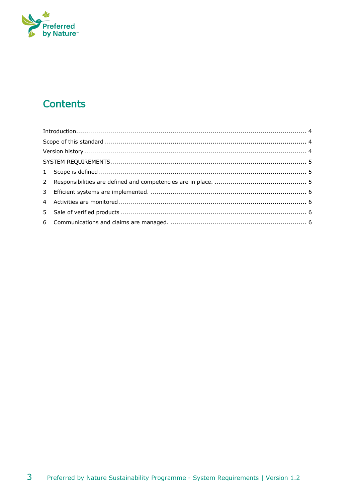

# **Contents**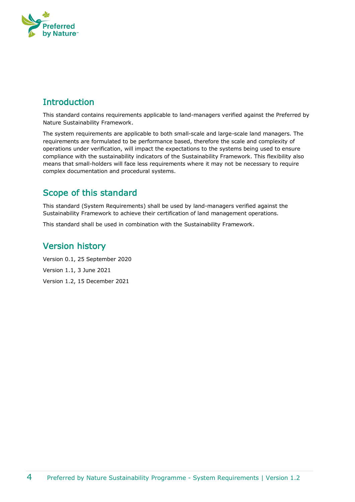

# <span id="page-3-0"></span>**Introduction**

This standard contains requirements applicable to land-managers verified against the Preferred by Nature Sustainability Framework.

The system requirements are applicable to both small-scale and large-scale land managers. The requirements are formulated to be performance based, therefore the scale and complexity of operations under verification, will impact the expectations to the systems being used to ensure compliance with the sustainability indicators of the Sustainability Framework. This flexibility also means that small-holders will face less requirements where it may not be necessary to require complex documentation and procedural systems.

#### <span id="page-3-1"></span>Scope of this standard

This standard (System Requirements) shall be used by land-managers verified against the Sustainability Framework to achieve their certification of land management operations.

This standard shall be used in combination with the Sustainability Framework.

### <span id="page-3-2"></span>Version history

Version 0.1, 25 September 2020 Version 1.1, 3 June 2021

Version 1.2, 15 December 2021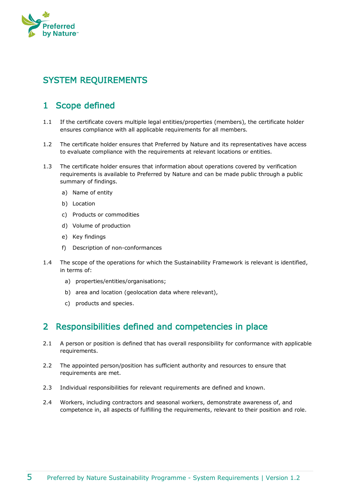

# <span id="page-4-0"></span>SYSTEM REQUIREMENTS

### <span id="page-4-1"></span>1 Scope defined

- 1.1 If the certificate covers multiple legal entities/properties (members), the certificate holder ensures compliance with all applicable requirements for all members.
- 1.2 The certificate holder ensures that Preferred by Nature and its representatives have access to evaluate compliance with the requirements at relevant locations or entities.
- 1.3 The certificate holder ensures that information about operations covered by verification requirements is available to Preferred by Nature and can be made public through a public summary of findings.
	- a) Name of entity
	- b) Location
	- c) Products or commodities
	- d) Volume of production
	- e) Key findings
	- f) Description of non-conformances
- 1.4 The scope of the operations for which the Sustainability Framework is relevant is identified, in terms of:
	- a) properties/entities/organisations;
	- b) area and location (geolocation data where relevant),
	- c) products and species.

#### <span id="page-4-2"></span>2 Responsibilities defined and competencies in place

- 2.1 A person or position is defined that has overall responsibility for conformance with applicable requirements.
- 2.2 The appointed person/position has sufficient authority and resources to ensure that requirements are met.
- 2.3 Individual responsibilities for relevant requirements are defined and known.
- 2.4 Workers, including contractors and seasonal workers, demonstrate awareness of, and competence in, all aspects of fulfilling the requirements, relevant to their position and role.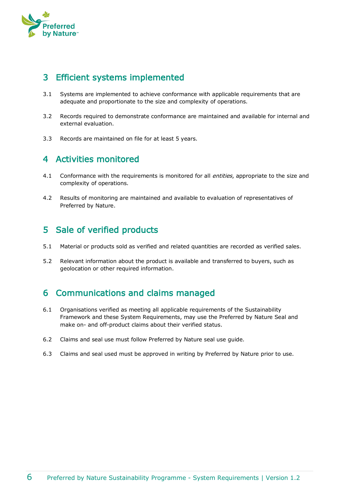

#### <span id="page-5-0"></span>3 Efficient systems implemented

- 3.1 Systems are implemented to achieve conformance with applicable requirements that are adequate and proportionate to the size and complexity of operations.
- 3.2 Records required to demonstrate conformance are maintained and available for internal and external evaluation.
- 3.3 Records are maintained on file for at least 5 years.

#### <span id="page-5-1"></span>4 Activities monitored

- 4.1 Conformance with the requirements is monitored for all *entities*, appropriate to the size and complexity of operations.
- 4.2 Results of monitoring are maintained and available to evaluation of representatives of Preferred by Nature.

# <span id="page-5-2"></span>5 Sale of verified products

- 5.1 Material or products sold as verified and related quantities are recorded as verified sales.
- 5.2 Relevant information about the product is available and transferred to buyers, such as geolocation or other required information.

# <span id="page-5-3"></span>6 Communications and claims managed

- 6.1 Organisations verified as meeting all applicable requirements of the Sustainability Framework and these System Requirements, may use the Preferred by Nature Seal and make on- and off-product claims about their verified status.
- 6.2 Claims and seal use must follow Preferred by Nature seal use guide.
- 6.3 Claims and seal used must be approved in writing by Preferred by Nature prior to use.